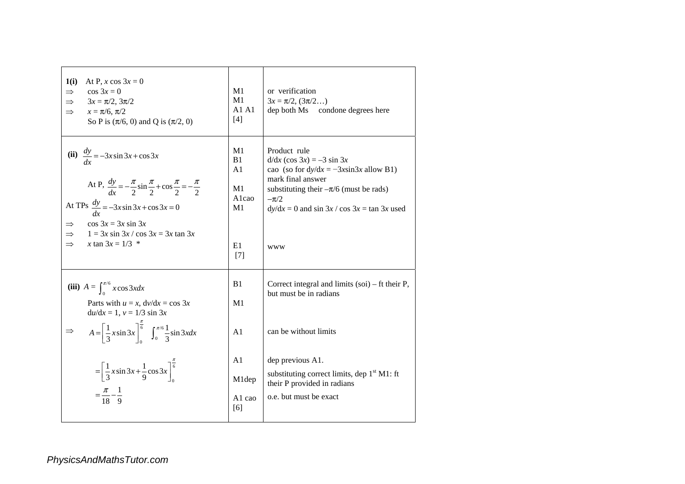| 1(i)<br>At P, x cos $3x = 0$<br>$\cos 3x = 0$<br>$\Rightarrow$<br>$3x = \pi/2$ , $3\pi/2$<br>$\Rightarrow$<br>$x = \pi/6, \pi/2$<br>$\Rightarrow$<br>So P is $(\pi/6, 0)$ and Q is $(\pi/2, 0)$                                                                                                                   | M1<br>M1<br>A1 A1<br>[4]                                       | or verification<br>$3x = \pi/2$ , $(3\pi/2)$<br>dep both Ms condone degrees here                                                                                                                                                        |
|-------------------------------------------------------------------------------------------------------------------------------------------------------------------------------------------------------------------------------------------------------------------------------------------------------------------|----------------------------------------------------------------|-----------------------------------------------------------------------------------------------------------------------------------------------------------------------------------------------------------------------------------------|
| (ii) $\frac{dy}{dx} = -3x \sin 3x + \cos 3x$<br>At P, $\frac{dy}{dx} = -\frac{\pi}{2} \sin \frac{\pi}{2} + \cos \frac{\pi}{2} = -\frac{\pi}{2}$<br>At TPs $\frac{dy}{dx} = -3x \sin 3x + \cos 3x = 0$<br>$\cos 3x = 3x \sin 3x$<br>$\Rightarrow$<br>$1 = 3x \sin 3x / \cos 3x = 3x \tan 3x$<br>x tan $3x = 1/3$ * | M1<br>B1<br>A1<br>M <sub>1</sub><br>Alcao<br>M1<br>E1<br>$[7]$ | Product rule<br>$d/dx$ (cos 3x) = -3 sin 3x<br>cao (so for $dy/dx = -3x\sin 3x$ allow B1)<br>mark final answer<br>substituting their $-\pi/6$ (must be rads)<br>$-\pi/2$<br>$dy/dx = 0$ and sin 3x / cos 3x = tan 3x used<br><b>WWW</b> |
| (iii) $A = \int_{0}^{\pi/6} x \cos 3x dx$<br>Parts with $u = x$ , $dv/dx = \cos 3x$<br>$du/dx = 1, v = 1/3 \sin 3x$<br>$A = \left[\frac{1}{3}x\sin 3x\right]_0^{\frac{\pi}{6}} \quad \int_0^{\pi/6} \frac{1}{3}\sin 3x dx$                                                                                        | B <sub>1</sub><br>M1<br>A <sub>1</sub>                         | Correct integral and limits $(soi)$ – ft their P,<br>but must be in radians<br>can be without limits                                                                                                                                    |
| $=\left[\frac{1}{3}x\sin 3x + \frac{1}{9}\cos 3x\right]_0^{\frac{1}{6}}$<br>$=\frac{\pi}{18}-\frac{1}{9}$                                                                                                                                                                                                         | A1<br>M1dep<br>A <sub>1</sub> cao<br>[6]                       | dep previous A1.<br>substituting correct limits, dep $1st M1$ : ft<br>their P provided in radians<br>o.e. but must be exact                                                                                                             |

*PhysicsAndMathsTutor.com*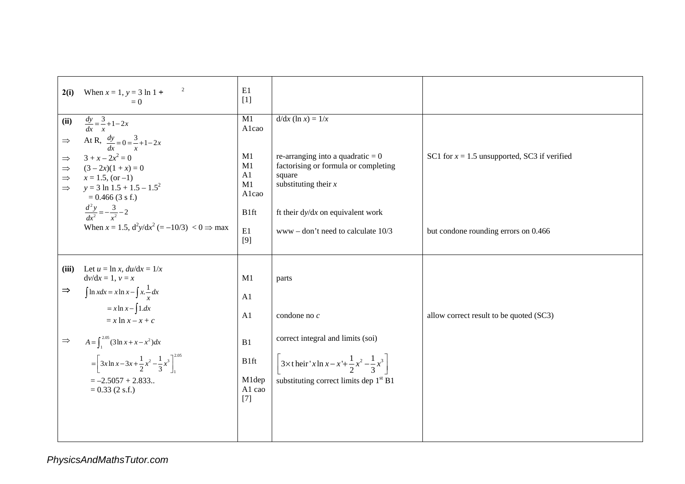| 2(i)                                                                     | 2<br>When $x = 1$ , $y = 3 \ln 1 +$<br>$= 0$                                                                                                                                                                                                                                                                                       | E1<br>$[1]$                                                          |                                                                                                                                                                                                                  |                                                |
|--------------------------------------------------------------------------|------------------------------------------------------------------------------------------------------------------------------------------------------------------------------------------------------------------------------------------------------------------------------------------------------------------------------------|----------------------------------------------------------------------|------------------------------------------------------------------------------------------------------------------------------------------------------------------------------------------------------------------|------------------------------------------------|
| (ii)<br>$\Rightarrow$<br>$\Rightarrow$<br>$\Rightarrow$<br>$\Rightarrow$ | $\frac{dy}{dx} = \frac{3}{x} + 1 - 2x$<br>At R, $\frac{dy}{dx} = 0 = \frac{3}{x} + 1 - 2x$<br>$3 + x - 2x^2 = 0$<br>$(3-2x)(1+x) = 0$<br>$\Rightarrow$ $x = 1.5$ , (or -1)<br>$y = 3 \ln 1.5 + 1.5 - 1.5^2$<br>$= 0.466$ (3 s f.)<br>$\frac{d^2y}{dx^2} = -\frac{3}{x^2} - 2$                                                      | M1<br>Alcao<br>M1<br>M1<br>A1<br>M1<br>Alcao<br>B1ft                 | $d/dx$ (ln x) = $1/x$<br>re-arranging into a quadratic $= 0$<br>factorising or formula or completing<br>square<br>substituting their $x$<br>ft their $dy/dx$ on equivalent work                                  | SC1 for $x = 1.5$ unsupported, SC3 if verified |
|                                                                          | When $x = 1.5$ , $d^2y/dx^2 (= -10/3) < 0 \implies$ max                                                                                                                                                                                                                                                                            | E1<br>[9]                                                            | $www - don't need to calculate 10/3$                                                                                                                                                                             | but condone rounding errors on 0.466           |
| (iii)<br>$\Rightarrow$<br>$\Rightarrow$                                  | Let $u = \ln x$ , $du/dx = 1/x$<br>$dv/dx = 1, v = x$<br>$\int \ln x dx = x \ln x - \int x \cdot \frac{1}{x} dx$<br>$= x \ln x - \int 1 dx$<br>$= x \ln x - x + c$<br>$A = \int_{1}^{2.05} (3 \ln x + x - x^2) dx$<br>$=\left[3x\ln x-3x+\frac{1}{2}x^2-\frac{1}{3}x^3\right]_0^{2.05}$<br>$=-2.5057 + 2.833$<br>$= 0.33$ (2 s.f.) | M1<br>A1<br>A <sub>1</sub><br>B1<br>B1ft<br>M1dep<br>A1 cao<br>$[7]$ | parts<br>condone no c<br>correct integral and limits (soi)<br>$3 \times$ t heir 'x ln x – x '+ $\frac{1}{2}$ x <sup>2</sup> – $\frac{1}{3}$ x <sup>3</sup><br>substituting correct limits dep 1 <sup>st</sup> B1 | allow correct result to be quoted (SC3)        |